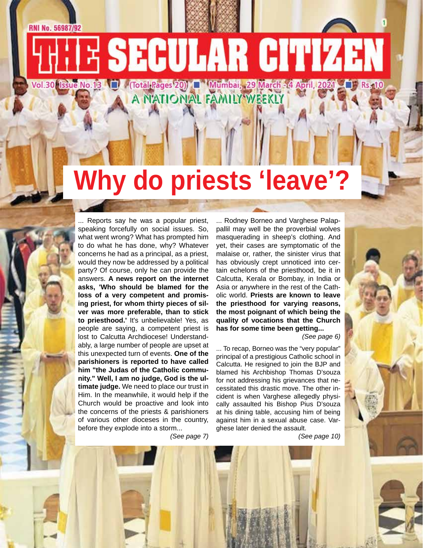# E SECULAR CITIZEN Vol.30 (Issue No.13 Cotal Pages 20) Cotal Mumbai, 29 March - 4 April, 2021 Co. Rs. 10

A N'ATIONAL FAMILY WEEKLY

# **Why do priests 'leave'?**

... Reports say he was a popular priest, speaking forcefully on social issues. So, what went wrong? What has prompted him to do what he has done, why? Whatever concerns he had as a principal, as a priest, would they now be addressed by a political party? Of course, only he can provide the answers. **A news report on the internet asks, 'Who should be blamed for the loss of a very competent and promising priest, for whom thirty pieces of silver was more preferable, than to stick to priesthood.'** It's unbelievable! Yes, as people are saying, a competent priest is lost to Calcutta Archdiocese! Understandably, a large number of people are upset at this unexpected turn of events. **One of the parishioners is reported to have called him "the Judas of the Catholic community." Well, I am no judge, God is the ultimate judge.** We need to place our trust in Him. In the meanwhile, it would help if the Church would be proactive and look into the concerns of the priests & parishioners of various other dioceses in the country, before they explode into a storm... *(See page 7)*

... Rodney Borneo and Varghese Palappallil may well be the proverbial wolves masquerading in sheep's clothing. And yet, their cases are symptomatic of the malaise or, rather, the sinister virus that has obviously crept unnoticed into certain echelons of the priesthood, be it in Calcutta, Kerala or Bombay, in India or Asia or anywhere in the rest of the Catholic world. **Priests are known to leave the priesthood for varying reasons, the most poignant of which being the quality of vocations that the Church has for some time been getting...**

*(See page 6)*

... To recap, Borneo was the "very popular" principal of a prestigious Catholic school in Calcutta. He resigned to join the BJP and blamed his Archbishop Thomas D'souza for not addressing his grievances that necessitated this drastic move. The other incident is when Varghese allegedly physically assaulted his Bishop Pius D'souza at his dining table, accusing him of being against him in a sexual abuse case. Varghese later denied the assault.

*(See page 10)*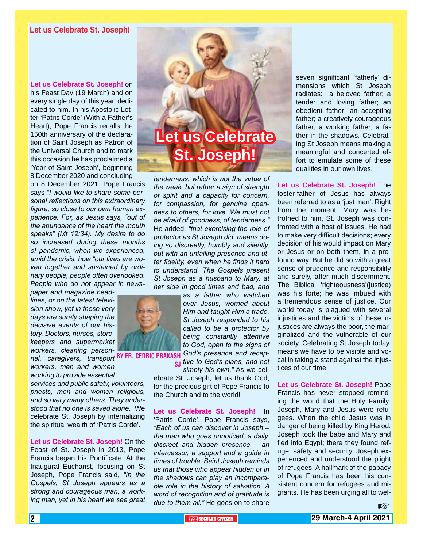**Let us Celebrate St. Joseph!** on his Feast Day (19 March) and on every single day of this year, dedicated to him. In his Apostolic Letter 'Patris Corde' (With a Father's Heart), Pope Francis recalls the 150th anniversary of the declaration of Saint Joseph as Patron of the Universal Church and to mark this occasion he has proclaimed a 'Year of Saint Joseph', beginning 8 December 2020 and concluding

on 8 December 2021. Pope Francis says *"I would like to share some personal reflections on this extraordinary figure, so close to our own human experience. For, as Jesus says, "out of the abundance of the heart the mouth speaks" (Mt 12:34). My desire to do so increased during these months of pandemic, when we experienced, amid the crisis, how "our lives are woven together and sustained by ordinary people, people often overlooked. People who do not appear in news-*

*paper and magazine headlines, or on the latest television show, yet in these very days are surely shaping the decisive events of our history. Doctors, nurses, storekeepers and supermarket workers, cleaning person-*

nel, caregivers, transport <sup>BY FR. CEDRIC PRAKASH</sup> *workers, men and women working to provide essential* 

*services and public safety, volunteers, priests, men and women religious, and so very many others. They understood that no one is saved alone."* We celebrate St. Joseph by internalizing the spiritual wealth of 'Patris Corde'.

**Let us Celebrate St. Joseph!** On the Feast of St. Joseph in 2013, Pope Francis began his Pontificate. At the Inaugural Eucharist, focusing on St Joseph, Pope Francis said, *"In the Gospels, St Joseph appears as a strong and courageous man, a working man, yet in his heart we see great* 

# Let us Celebrate **St. Joseph!**

*tenderness, which is not the virtue of the weak, but rather a sign of strength of spirit and a capacity for concern, for compassion, for genuine openness to others, for love. We must not be afraid of goodness, of tenderness."* He added, *"that exercising the role of protector as St Joseph did, means doing so discreetly, humbly and silently, but with an unfailing presence and utter fidelity, even when he finds it hard to understand. The Gospels present St Joseph as a husband to Mary, at her side in good times and bad, and* 

> *as a father who watched over Jesus, worried about Him and taught Him a trade. St Joseph responded to his called to be a protector by being constantly attentive to God, open to the signs of God's presence and recep-*

*tive to God's plans, and not*  sj *simply his own."* As we cel-

ebrate St. Joseph, let us thank God, for the precious gift of Pope Francis to the Church and to the world!

**Let us Celebrate St. Joseph!** In 'Patris Corde', Pope Francis says, *"Each of us can discover in Joseph – the man who goes unnoticed, a daily, discreet and hidden presence – an intercessor, a support and a guide in times of trouble. Saint Joseph reminds us that those who appear hidden or in the shadows can play an incomparable role in the history of salvation. A word of recognition and of gratitude is due to them all."* He goes on to share

seven significant 'fatherly' dimensions which St Joseph radiates: a beloved father; a tender and loving father; an obedient father; an accepting father; a creatively courageous father; a working father; a father in the shadows. Celebrating St Joseph means making a meaningful and concerted effort to emulate some of these qualities in our own lives.

**Let us Celebrate St. Joseph!** The foster-father of Jesus has always been referred to as a 'just man'. Right from the moment, Mary was betrothed to him, St. Joseph was confronted with a host of issues. He had to make very difficult decisions; every decision of his would impact on Mary or Jesus or on both them, in a profound way. But he did so with a great sense of prudence and responsibility and surely, after much discernment. The Biblical 'righteousness'(justice) was his forte; he was imbued with a tremendous sense of justice. Our world today is plagued with several injustices and the victims of these injustices are always the poor, the marginalized and the vulnerable of our society. Celebrating St Joseph today, means we have to be visible and vocal in taking a stand against the injustices of our time.

**Let us Celebrate St. Joseph!** Pope Francis has never stopped reminding the world that the Holy Family: Joseph, Mary and Jesus were refugees. When the child Jesus was in danger of being killed by King Herod. Joseph took the babe and Mary and fled into Egypt; there they found refuge, safety and security. Joseph experienced and understood the plight of refugees. A hallmark of the papacy of Pope Francis has been his consistent concern for refugees and migrants. He has been urging all to wel-



 $R$ 

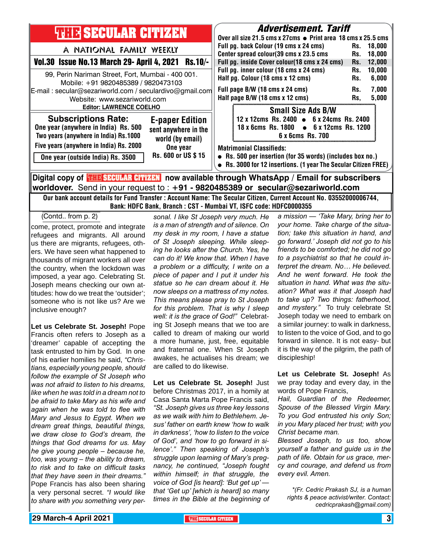| <b>THEIR SECULAR CITIZEN</b><br>A NATIONAL FAMILY WEEKLY<br>Vol.30 Issue No.13 March 29- April 4, 2021 Rs.10/-<br>99, Perin Nariman Street, Fort, Mumbai - 400 001.<br>Mobile: +91 9820485389 / 9820473103<br>E-mail: secular@sezariworld.com / seculardivo@gmail.com<br>Website: www.sezariworld.com                                 | Advertisement. Tariff<br>Over all size 21.5 cms x 27cms ● Print area 18 cms x 25.5 cms<br>Full pg. back Colour (19 cms x 24 cms)<br>Center spread colour(39 cms x 23.5 cms<br>Full pg. inside Cover colour(18 cms x 24 cms)<br>Full pg. inner colour (18 cms x 24 cms)<br>Half pg. Colour (18 cms x 12 cms)<br>Full page B/W (18 cms x 24 cms)<br>Half page B/W (18 cms x 12 cms) | 18,000<br>Rs.<br>18,000<br>Rs.<br>12,000<br>Rs.<br>10,000<br>Rs.<br>6,000<br>Rs.<br>7,000<br>Rs.<br>5,000<br>Rs, |
|---------------------------------------------------------------------------------------------------------------------------------------------------------------------------------------------------------------------------------------------------------------------------------------------------------------------------------------|-----------------------------------------------------------------------------------------------------------------------------------------------------------------------------------------------------------------------------------------------------------------------------------------------------------------------------------------------------------------------------------|------------------------------------------------------------------------------------------------------------------|
| <b>Editor: LAWRENCE COELHO</b><br><b>Subscriptions Rate:</b><br><b>E-paper Edition</b><br>One year (anywhere in India) Rs. 500<br>sent anywhere in the<br>Two years (anywhere in India) Rs.1000<br>world (by email)<br>Five years (anywhere in India) Rs. 2000<br>One year<br>Rs. 600 or US \$15<br>One year (outside India) Rs. 3500 | <b>Small Size Ads B/W</b><br>12 x 12cms Rs. 2400 • 6 x 24cms Rs. 2400<br>18 x 6cms Rs. 1800 • 6 x 12cms Rs. 1200<br>6 x 6cms Rs. 700<br><b>Matrimonial Classifieds:</b><br>• Rs. 500 per insertion (for 35 words) (includes box no.)<br>Rs. 3000 for 12 insertions. (1 year The Secular Citizen FREE)                                                                             |                                                                                                                  |

**Digital copy of now available through WhatsApp / Email for subscribers worldover.** Send in your request to : **+91 - 9820485389 or secular@sezariworld.com**

Our bank account details for Fund Transfer : Account Name: The Secular Citizen, Current Account No. 03552000006744, Bank: HDFC Bank, Branch : CST - Mumbai VT, ISFC code: HDFC0000355

(Contd.. from p. 2)

come, protect, promote and integrate refugees and migrants. All around us there are migrants, refugees, others. We have seen what happened to thousands of migrant workers all over the country, when the lockdown was imposed, a year ago. Celebrating St. Joseph means checking our own attitudes: how do we treat the 'outsider'; someone who is not like us? Are we inclusive enough?

**Let us Celebrate St. Joseph!** Pope Francis often refers to Joseph as a 'dreamer' capable of accepting the task entrusted to him by God. In one of his earlier homilies he said, *"Christians, especially young people, should follow the example of St Joseph who was not afraid to listen to his dreams, like when he was told in a dream not to be afraid to take Mary as his wife and again when he was told to flee with Mary and Jesus to Egypt. When we dream great things, beautiful things, we draw close to God's dream, the things that God dreams for us. May he give young people – because he, too, was young – the ability to dream, to risk and to take on difficult tasks that they have seen in their dreams."* Pope Francis has also been sharing a very personal secret. *"I would like to share with you something very per-*

*sonal. I like St Joseph very much. He is a man of strength and of silence. On my desk in my room, I have a statue of St Joseph sleeping. While sleeping he looks after the Church. Yes, he can do it! We know that. When I have a problem or a difficulty, I write on a piece of paper and I put it under his statue so he can dream about it. He now sleeps on a mattress of my notes. This means please pray to St Joseph for this problem. That is why I sleep well: it is the grace of God!"* Celebrating St Joseph means that we too are called to dream of making our world a more humane, just, free, equitable and fraternal one. When St Joseph awakes, he actualises his dream; we are called to do likewise.

**Let us Celebrate St. Joseph!** Just before Christmas 2017, in a homily at Casa Santa Marta Pope Francis said, *"St. Joseph gives us three key lessons as we walk with him to Bethlehem. Jesus' father on earth knew 'how to walk in darkness', 'how to listen to the voice of God', and 'how to go forward in silence'." Then speaking of Joseph's struggle upon learning of Mary's pregnancy, he continued, "Joseph fought within himself; in that struggle, the voice of God [is heard]: 'But get up' that 'Get up' [which is heard] so many times in the Bible at the beginning of* 

*a mission — 'Take Mary, bring her to your home. Take charge of the situation; take this situation in hand, and go forward.' Joseph did not go to his friends to be comforted; he did not go to a psychiatrist so that he could interpret the dream. No… He believed. And he went forward. He took the situation in hand. What was the situation? What was it that Joseph had to take up? Two things: fatherhood, and mystery."* To truly celebrate St Joseph today we need to embark on a similar journey: to walk in darkness, to listen to the voice of God, and to go forward in silence. It is not easy- but it is the way of the pilgrim, the path of discipleship!

**Let us Celebrate St. Joseph!** As we pray today and every day, in the words of Pope Francis,

*Hail, Guardian of the Redeemer, Spouse of the Blessed Virgin Mary. To you God entrusted his only Son; in you Mary placed her trust; with you Christ became man.* 

*Blessed Joseph, to us too, show yourself a father and guide us in the path of life. Obtain for us grace, mercy and courage, and defend us from every evil. Amen.*

*\*(Fr. Cedric Prakash SJ, is a human rights & peace activist/writer. Contact: cedricprakash@gmail.com)*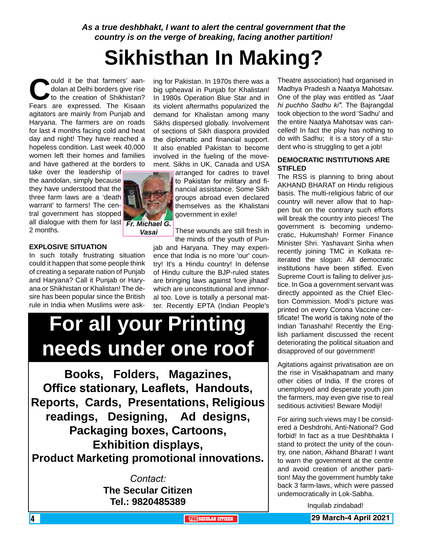*As a true deshbhakt, I want to alert the central government that the country is on the verge of breaking, facing another partition!*

# **Sikhisthan In Making?**

**Could it be that farmers' aan-<br>dolan at Delhi borders give rise<br>fears are expressed. The Kisaan** dolan at Delhi borders give rise to the creation of Shikhistan? Fears are expressed. The Kisaan agitators are mainly from Punjab and Haryana. The farmers are on roads for last 4 months facing cold and heat day and night! They have reached a hopeless condition. Last week 40,000 women left their homes and families and have gathered at the borders to

take over the leadership of the aandolan, simply because they have understood that the three farm laws are a 'death warrant' to farmers! The central government has stopped all dialogue with them for last *Fr. Michael G.*  2 months.



In such totally frustrating situation could it happen that some people think of creating a separate nation of Punjab and Haryana? Call it Punjab or Haryana or Shikhistan or Khalistan! The desire has been popular since the British rule in India when Muslims were asking for Pakistan. In 1970s there was a big upheaval in Punjab for Khalistan! In 1980s Operation Blue Star and in its violent aftermaths popularized the demand for Khalistan among many Sikhs dispersed globally. Involvement of sections of Sikh diaspora provided the diplomatic and financial support. It also enabled Pakistan to become involved in the fueling of the movement. Sikhs in UK, Canada and USA

arranged for cadres to travel to Pakistan for military and financial assistance. Some Sikh groups abroad even declared themselves as the Khalistani government in exile!

These wounds are still fresh in the minds of the youth of Pun-

jab and Haryana. They may experience that India is no more 'our' country! It's a Hindu country! In defense of Hindu culture the BJP-ruled states are bringing laws against 'love jihaad' which are unconstitutional and immoral too. Love is totally a personal matter. Recently EPTA (Indian People's

# **For all your Printing needs under one roof**

**Books, Folders, Magazines, Office stationary, Leaflets, Handouts, Reports, Cards, Presentations, Religious readings, Designing, Ad designs, Packaging boxes, Cartoons, Exhibition displays, Product Marketing promotional innovations.**

> *Contact:* **The Secular Citizen Tel.: 9820485389**

Theatre association) had organised in Madhya Pradesh a Naatya Mahotsav. One of the play was entitled as *"Jaat hi puchho Sadhu ki".* The Bajrangdal took objection to the word 'Sadhu' and the entire Naatya Mahotsav was cancelled! In fact the play has nothing to do with Sadhu; it is a story of a student who is struggling to get a job!

#### **DEMOCRATIC INSTITUTIONS ARE STIFLED**

The RSS is planning to bring about AKHAND BHARAT on Hindu religious basis. The multi-religious fabric of our country will never allow that to happen but on the contrary such efforts will break the country into pieces! The government is becoming undemocratic, Hukumshah! Former Finance Minister Shri. Yashavant Sinha when recently joining TMC in Kolkata reiterated the slogan: All democratic institutions have been stifled. Even Supreme Court is failing to deliver justice. In Goa a government servant was directly appointed as the Chief Election Commission. Modi's picture was printed on every Corona Vaccine certificate! The world is taking note of the Indian Tanashahi! Recently the English parliament discussed the recent deteriorating the political situation and disapproved of our government!

Agitations against privatisation are on the rise in Visakhapatnam and many other cities of India. If the crores of unemployed and desperate youth join the farmers, may even give rise to real seditious activities! Beware Modiji!

For airing such views may I be considered a Deshdrohi, Anti-National? God forbid! In fact as a true Deshbhakta I stand to protect the unity of the country, one nation, Akhand Bharat! I want to warn the government at the centre and avoid creation of another partition! May the government humbly take back 3 farm-laws, which were passed undemocratically in Lok-Sabha.

Inquilab zindabad!



*Vasai*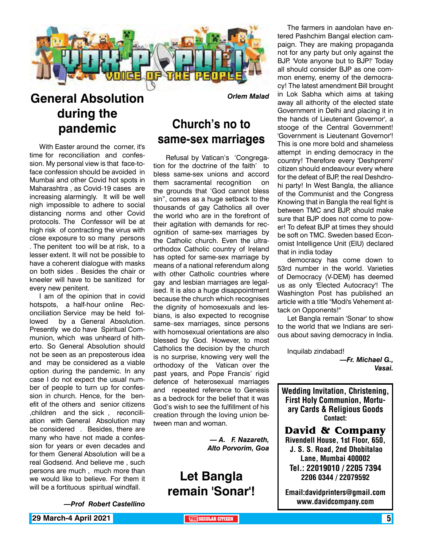

*Orlem Malad*

## **General Absolution during the pandemic**

With Easter around the corner, it's time for reconciliation and confession. My personal view is that face-toface confession should be avoided in Mumbai and other Covid hot spots in Maharashtra , as Covid-19 cases are increasing alarmingly. It will be well nigh impossible to adhere to social distancing norms and other Covid protocols. The Confessor will be at high risk of contracting the virus with close exposure to so many persons . The penitent too will be at risk, to a lesser extent. It will not be possible to have a coherent dialogue with masks on both sides . Besides the chair or kneeler will have to be sanitized for every new penitent.

I am of the opinion that in covid hotspots, a half-hour online Reconciliation Service may be held followed by a General Absolution. Presently we do have Spiritual Communion, which was unheard of hitherto. So General Absolution should not be seen as an preposterous idea and may be considered as a viable option during the pandemic. In any case I do not expect the usual number of people to turn up for confession in church. Hence, for the benefit of the others and senior citizens ,children and the sick , reconciliation with General Absolution may be considered . Besides, there are many who have not made a confession for years or even decades and for them General Absolution will be a real Godsend. And believe me , such persons are much , much more than we would like to believe. For them it will be a fortituous spiritual windfall.

*—Prof Robert Castellino* 

### **Church's no to same-sex marriages**

 Refusal by Vatican's 'Congregation for the doctrine of the faith' to bless same-sex unions and accord them sacramental recognition on the grounds that 'God cannot bless sin", comes as a huge setback to the thousands of gay Catholics all over the world who are in the forefront of their agitation with demands for recognition of same-sex marriages by the Catholic church. Even the ultraorthodox Catholic country of Ireland has opted for same-sex marriage by means of a national referendum along with other Catholic countries where gay and lesbian marriages are legalised. It is also a huge disappointment because the church which recognises the dignity of homosexuals and lesbians, is also expected to recognise same–sex marriages, since persons with homosexual orientations are also blessed by God. However, to most Catholics the decision by the church is no surprise, knowing very well the orthodoxy of the Vatican over the past years, and Pope Francis' rigid defence of heterosexual marriages and repeated reference to Genesis as a bedrock for the belief that it was God's wish to see the fulfillment of his creation through the loving union between man and woman.

> *— A. F. Nazareth, Alto Porvorim, Goa*

### **Let Bangla remain 'Sonar'!**

The farmers in aandolan have entered Pashchim Bangal election campaign. They are making propaganda not for any party but only against the BJP. 'Vote anyone but to BJP!' Today all should consider BJP as one common enemy, enemy of the democracy! The latest amendment Bill brought in Lok Sabha which aims at taking away all aithority of the elected state Government in Delhi and placing it in the hands of Lieutenant Governor', a stooge of the Central Government! 'Government is Lieutenant Governor'! This is one more bold and shameless attempt in ending democracy in the country! Therefore every 'Deshpremi' citizen should endeavour every where for the defeat of BJP, the real Deshdrohi party! In West Bangla, the alliance of the Communist and the Congress Knowing that in Bangla the real fight is between TMC and BJP, should make sure that BJP does not come to power! To defeat BJP at times they should be soft on TMC. Sweden based Economist Intelligence Unit (EIU) declared that in india today

democracy has come down to 53rd number in the world. Varieties of Democracy (V-DEM) has deemed us as only 'Elected Autocracy'! The Washington Post has published an article with a title "Modi's Vehement attack on Opponents!"

Let Bangla remain 'Sonar' to show to the world that we Indians are serious about saving democracy in India.

Inquilab zindabad!

*—Fr. Michael G., Vasai.*

Wedding Invitation, Christening, First Holy Communion, Mortuary Cards & Religious Goods Contact:

**David & Company** Rivendell House, 1st Floor, 650, J. S. S. Road, 2nd Dhobitalao Lane, Mumbai 400002 Tel.: 22019010 / 2205 7394 2206 0344 / 22079592

Email:davidprinters@gmail.com www.davidcompany.com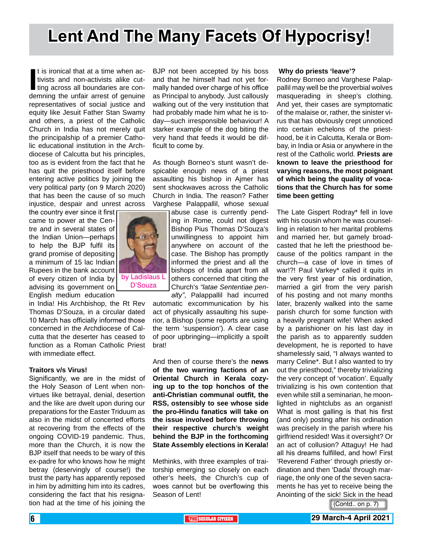# **Lent And The Many Facets Of Hypocrisy!**

It is ironical that at a time when activists and non-activists alike cutting across all boundaries are condemning the unfair arrest of genuine t is ironical that at a time when activists and non-activists alike cutting across all boundaries are conrepresentatives of social justice and equity like Jesuit Father Stan Swamy and others, a priest of the Catholic Church in India has not merely quit the principalship of a premier Catholic educational institution in the Archdiocese of Calcutta but his principles, too as is evident from the fact that he has quit the priesthood itself before entering active politics by joining the very political party (on 9 March 2020) that has been the cause of so much injustice, despair and unrest across

the country ever since it first came to power at the Centre and in several states of the Indian Union—perhaps to help the BJP fulfil its grand promise of depositing a minimum of 15 lac Indian Rupees in the bank account of every citizen of India by advising its government on English medium education

in India! His Archbishop, the Rt Rev Thomas D'Souza, in a circular dated 10 March has officially informed those concerned in the Archdiocese of Calcutta that the deserter has ceased to function as a Roman Catholic Priest with immediate effect.

#### **Traitors v/s Virus!**

Significantly, we are in the midst of the Holy Season of Lent when nonvirtues like betrayal, denial, desertion and the like are dwelt upon during our preparations for the Easter Triduum as also in the midst of concerted efforts at recovering from the effects of the ongoing COVID-19 pandemic. Thus, more than the Church, it is now the BJP itself that needs to be wary of this ex-padre for who knows how he might betray (deservingly of course!) the trust the party has apparently reposed in him by admitting him into its cadres, considering the fact that his resignation had at the time of his joining the

BJP not been accepted by his boss and that he himself had not yet formally handed over charge of his office as Principal to anybody. Just callously walking out of the very institution that had probably made him what he is today—such irresponsible behaviour! A starker example of the dog biting the very hand that feeds it would be difficult to come by.

As though Borneo's stunt wasn't despicable enough news of a priest assaulting his bishop in Ajmer has sent shockwaves across the Catholic Church in India. The reason? Father Varghese Palappallil, whose sexual

> abuse case is currently pending in Rome, could not digest Bishop Pius Thomas D'Souza's unwillingness to appoint him anywhere on account of the case. The Bishop has promptly informed the priest and all the bishops of India apart from all others concerned that citing the Church's *"latae Sententiae penalty"*, Palappallil had incurred

automatic excommunication by his act of physically assaulting his superior, a Bishop (some reports are using the term 'suspension'). A clear case of poor upbringing—implicitly a spoilt brat!

And then of course there's the **news of the two warring factions of an Oriental Church in Kerala cozying up to the top honchos of the anti-Christian communal outfit, the RSS, ostensibly to see whose side the pro-Hindu fanatics will take on the issue involved before throwing their respective church's weight behind the BJP in the forthcoming State Assembly elections in Kerala!**

Methinks, with three examples of traitorship emerging so closely on each other's heels, the Church's cup of woes cannot but be overflowing this Season of Lent!

#### **Why do priests 'leave'?**

Rodney Borneo and Varghese Palappallil may well be the proverbial wolves masquerading in sheep's clothing. And yet, their cases are symptomatic of the malaise or, rather, the sinister virus that has obviously crept unnoticed into certain echelons of the priesthood, be it in Calcutta, Kerala or Bombay, in India or Asia or anywhere in the rest of the Catholic world. **Priests are known to leave the priesthood for varying reasons, the most poignant of which being the quality of vocations that the Church has for some time been getting**

The Late Gispert Rodray\* fell in love with his cousin whom he was counselling in relation to her marital problems and married her, but gamely broadcasted that he left the priesthood because of the politics rampant in the church—a case of love in times of war!?! Paul Varkey\* called it quits in the very first year of his ordination, married a girl from the very parish of his posting and not many months later, brazenly walked into the same parish church for some function with a heavily pregnant wife! When asked by a parishioner on his last day in the parish as to apparently sudden development, he is reported to have shamelessly said, "I always wanted to marry Celine\*. But I also wanted to try out the priesthood," thereby trivializing the very concept of 'vocation'. Equally trivializing is his own contention that even while still a seminarian, he moonlighted in nightclubs as an organist! What is most galling is that his first (and only) posting after his ordination was precisely in the parish where his girlfriend resided! Was it oversight? Or an act of collusion? Attaguy! He had all his dreams fulfilled, and how! First 'Reverend Father' through priestly ordination and then 'Dada' through marriage, the only one of the seven sacraments he has yet to receive being the Anointing of the sick! Sick in the head

(Contd.. on p. 7)

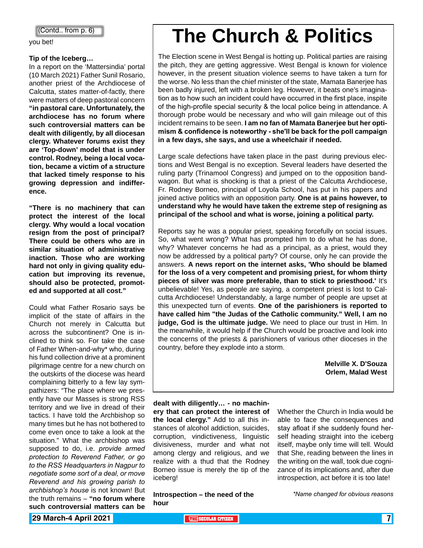you bet!

#### **Tip of the Iceberg…**

In a report on the 'Mattersindia' portal (10 March 2021) Father Sunil Rosario, another priest of the Archdiocese of Calcutta, states matter-of-factly, there were matters of deep pastoral concern **"in pastoral care. Unfortunately, the archdiocese has no forum where such controversial matters can be dealt with diligently, by all diocesan clergy. Whatever forums exist they are 'Top-down' model that is under control. Rodney, being a local vocation, became a victim of a structure that lacked timely response to his growing depression and indifference.**

**"There is no machinery that can protect the interest of the local clergy. Why would a local vocation resign from the post of principal? There could be others who are in similar situation of administrative inaction. Those who are working hard not only in giving quality education but improving its revenue, should also be protected, promoted and supported at all cost."** 

Could what Father Rosario says be implicit of the state of affairs in the Church not merely in Calcutta but across the subcontinent? One is inclined to think so. For take the case of Father When-and-why\* who, during his fund collection drive at a prominent pilgrimage centre for a new church on the outskirts of the diocese was heard complaining bitterly to a few lay sympathizers: "The place where we presently have our Masses is strong RSS territory and we live in dread of their tactics. I have told the Archbishop so many times but he has not bothered to come even once to take a look at the situation." What the archbishop was supposed to do, i.e. *provide armed protection to Reverend Father, or go to the RSS Headquarters in Nagpur to negotiate some sort of a deal, or move Reverend and his growing parish to archbishop's house* is not known! But the truth remains – **"no forum where such controversial matters can be** 

# **The Church & Politics**

The Election scene in West Bengal is hotting up. Political parties are raising the pitch, they are getting aggressive. West Bengal is known for violence however, in the present situation violence seems to have taken a turn for the worse. No less than the chief minister of the state, Mamata Banerjee has been badly injured, left with a broken leg. However, it beats one's imagination as to how such an incident could have occurred in the first place, inspite of the high-profile special security & the local police being in attendance. A thorough probe would be necessary and who will gain mileage out of this incident remains to be seen. **I am no fan of Mamata Banerjee but her optimism & confidence is noteworthy - she'll be back for the poll campaign in a few days, she says, and use a wheelchair if needed.**

Large scale defections have taken place in the past during previous elections and West Bengal is no exception. Several leaders have deserted the ruling party (Trinamool Congress) and jumped on to the opposition bandwagon. But what is shocking is that a priest of the Calcutta Archdiocese, Fr. Rodney Borneo, principal of Loyola School, has put in his papers and joined active politics with an opposition party. **One is at pains however, to understand why he would have taken the extreme step of resigning as principal of the school and what is worse, joining a political party.** 

Reports say he was a popular priest, speaking forcefully on social issues. So, what went wrong? What has prompted him to do what he has done, why? Whatever concerns he had as a principal, as a priest, would they now be addressed by a political party? Of course, only he can provide the answers. **A news report on the internet asks, 'Who should be blamed for the loss of a very competent and promising priest, for whom thirty pieces of silver was more preferable, than to stick to priesthood.'** It's unbelievable! Yes, as people are saying, a competent priest is lost to Calcutta Archdiocese! Understandably, a large number of people are upset at this unexpected turn of events. **One of the parishioners is reported to have called him "the Judas of the Catholic community." Well, I am no judge, God is the ultimate judge.** We need to place our trust in Him. In the meanwhile, it would help if the Church would be proactive and look into the concerns of the priests & parishioners of various other dioceses in the country, before they explode into a storm.

> **Melville X. D'Souza Orlem, Malad West**

**dealt with diligently… - no machinery that can protect the interest of the local clergy."** Add to all this instances of alcohol addiction, suicides, corruption, vindictiveness, linguistic divisiveness, murder and what not among clergy and religious, and we realize with a thud that the Rodney Borneo issue is merely the tip of the iceberg!

**Introspection – the need of the hour**

Whether the Church in India would be able to face the consequences and stay afloat if she suddenly found herself heading straight into the iceberg itself, maybe only time will tell. Would that She, reading between the lines in the writing on the wall, took due cognizance of its implications and, after due introspection, act before it is too late!

*\*Name changed for obvious reasons*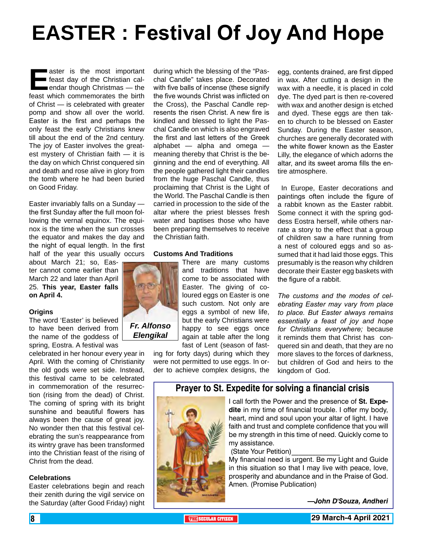# **EASTER: Festival Of Joy And Hope**

**Example 12 aster is the most important feast day of the Christian cal-<br>
endar though Christmas — the feast which commemorates the birth** feast day of the Christian calendar though Christmas — the feast which commemorates the birth of Christ — is celebrated with greater pomp and show all over the world. Easter is the first and perhaps the only feast the early Christians knew till about the end of the 2nd century. The joy of Easter involves the greatest mystery of Christian faith — it is the day on which Christ conquered sin and death and rose alive in glory from the tomb where he had been buried on Good Friday.

Easter invariably falls on a Sunday the first Sunday after the full moon following the vernal equinox. The equinox is the time when the sun crosses the equator and makes the day and the night of equal length. In the first half of the year this usually occurs

about March 21; so, Easter cannot come earlier than March 22 and later than April 25. **This year, Easter falls on April 4.** 

#### **Origins**

The word 'Easter' is believed to have been derived from the name of the goddess of spring, Eostra. A festival was

celebrated in her honour every year in April. With the coming of Christianity the old gods were set side. Instead, this festival came to be celebrated in commemoration of the resurrection (rising from the dead) of Christ. The coming of spring with its bright sunshine and beautiful flowers has always been the cause of great joy. No wonder then that this festival celebrating the sun's reappearance from its wintry grave has been transformed into the Christian feast of the rising of Christ from the dead.

#### **Celebrations**

Easter celebrations begin and reach their zenith during the vigil service on the Saturday (after Good Friday) night

during which the blessing of the "Paschal Candle" takes place. Decorated with five balls of incense (these signify the five wounds Christ was inflicted on the Cross), the Paschal Candle represents the risen Christ. A new fire is kindled and blessed to light the Paschal Candle on which is also engraved the first and last letters of the Greek alphabet — alpha and omega meaning thereby that Christ is the beginning and the end of everything. All the people gathered light their candles from the huge Paschal Candle, thus proclaiming that Christ is the Light of the World. The Paschal Candle is then carried in procession to the side of the altar where the priest blesses fresh water and baptises those who have been preparing themselves to receive the Christian faith.

#### **Customs And Traditions**

There are many customs and traditions that have come to be associated with Easter. The giving of coloured eggs on Easter is one such custom. Not only are eggs a symbol of new life, but the early Christians were happy to see eggs once again at table after the long fast of Lent (season of fast-

ing for forty days) during which they were not permitted to use eggs. In order to achieve complex designs, the egg, contents drained, are first dipped in wax. After cutting a design in the wax with a needle, it is placed in cold dye. The dyed part is then re-covered with wax and another design is etched and dyed. These eggs are then taken to church to be blessed on Easter Sunday. During the Easter season, churches are generally decorated with the white flower known as the Easter Lilly, the elegance of which adorns the altar, and its sweet aroma fills the entire atmosphere.

 In Europe, Easter decorations and paintings often include the figure of a rabbit known as the Easter rabbit. Some connect it with the spring goddess Eostra herself, while others narrate a story to the effect that a group of children saw a hare running from a nest of coloured eggs and so assumed that it had laid those eggs. This presumably is the reason why children decorate their Easter egg baskets with the figure of a rabbit.

*The customs and the modes of celebrating Easter may vary from place to place. But Easter always remains essentially a feast of joy and hope for Christians everywhere;* because it reminds them that Christ has conquered sin and death, that they are no more slaves to the forces of darkness, but children of God and heirs to the kingdom of God.



#### **Prayer to St. Expedite for solving a financial crisis**

I call forth the Power and the presence of **St. Expedite** in my time of financial trouble. I offer my body, heart, mind and soul upon your altar of light. I have faith and trust and complete confidence that you will be my strength in this time of need. Quickly come to my assistance.

(State Your Petition)

My financial need is urgent. Be my Light and Guide in this situation so that I may live with peace, love, prosperity and abundance and in the Praise of God. Amen. (Promise Publication)

*—John D'Souza, Andheri*



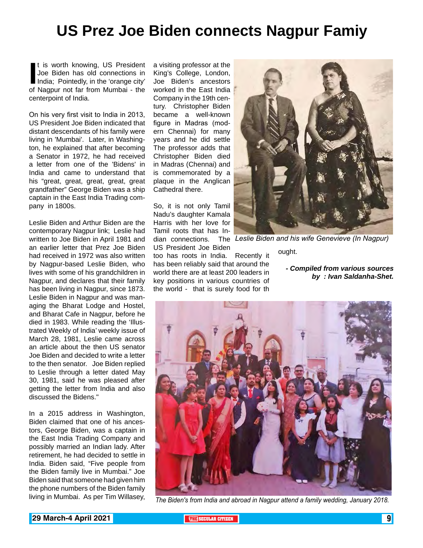## **US Prez Joe Biden connects Nagpur Famiy**

It is worth knowing, US President<br>Joe Biden has old connections in<br>India; Pointedly, in the 'orange city'<br>of Nagpur not far from Mumbai - the t is worth knowing, US President Joe Biden has old connections in India; Pointedly, in the 'orange city' centerpoint of India.

On his very first visit to India in 2013, US President Joe Biden indicated that distant descendants of his family were living in 'Mumbai'. Later, in Washington, he explained that after becoming a Senator in 1972, he had received a letter from one of the 'Bidens' in India and came to understand that his "great, great, great, great, great grandfather" George Biden was a ship captain in the East India Trading company in 1800s.

Leslie Biden and Arthur Biden are the contemporary Nagpur link; Leslie had written to Joe Biden in April 1981 and an earlier letter that Prez Joe Biden had received in 1972 was also written by Nagpur-based Leslie Biden, who lives with some of his grandchildren in Nagpur, and declares that their family has been living in Nagpur, since 1873. Leslie Biden in Nagpur and was managing the Bharat Lodge and Hostel, and Bharat Cafe in Nagpur, before he died in 1983. While reading the 'Illustrated Weekly of India' weekly issue of March 28, 1981, Leslie came across an article about the then US senator Joe Biden and decided to write a letter to the then senator. Joe Biden replied to Leslie through a letter dated May 30, 1981, said he was pleased after getting the letter from India and also discussed the Bidens."

In a 2015 address in Washington, Biden claimed that one of his ancestors, George Biden, was a captain in the East India Trading Company and possibly married an Indian lady. After retirement, he had decided to settle in India. Biden said, "Five people from the Biden family live in Mumbai." Joe Biden said that someone had given him the phone numbers of the Biden family living in Mumbai. As per Tim Willasey, a visiting professor at the King's College, London, Joe Biden's ancestors worked in the East India Company in the 19th century. Christopher Biden became a well-known figure in Madras (modern Chennai) for many years and he did settle The professor adds that Christopher Biden died in Madras (Chennai) and is commemorated by a plaque in the Anglican Cathedral there.

So, it is not only Tamil Nadu's daughter Kamala Harris with her love for Tamil roots that has Indian connections. US President Joe Biden

too has roots in India. Recently it has been reliably said that around the world there are at least 200 leaders in key positions in various countries of the world - that is surely food for th



*Leslie Biden and his wife Genevieve (In Nagpur)*

ought.

*- Compiled from various sources by : Ivan Saldanha-Shet.*



*The Biden's from India and abroad in Nagpur attend a family wedding, January 2018.*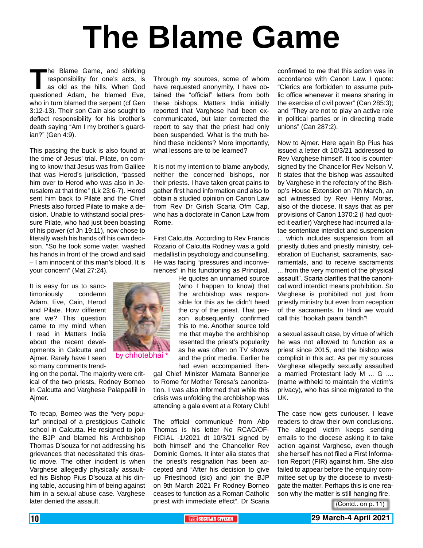# **The Blame Game**

The Blame Game, and shirking<br>
responsibility for one's acts, is<br>
as old as the hills. When God<br>
questioned Adam, he blamed Eve, responsibility for one's acts, is as old as the hills. When God who in turn blamed the serpent (cf Gen 3:12-13). Their son Cain also sought to deflect responsibility for his brother's death saying "Am I my brother's guardian?" (Gen 4:9).

This passing the buck is also found at the time of Jesus' trial. Pilate, on coming to know that Jesus was from Galilee that was Herod's jurisdiction, "passed him over to Herod who was also in Jerusalem at that time" (Lk 23:6-7). Herod sent him back to Pilate and the Chief Priests also forced Pilate to make a decision. Unable to withstand social pressure Pilate, who had just been boasting of his power (cf Jn 19:11), now chose to literally wash his hands off his own decision. "So he took some water, washed his hands in front of the crowd and said – I am innocent of this man's blood. It is your concern" (Mat 27:24).

It is easy for us to sanctimoniously condemn Adam, Eve, Cain, Herod and Pilate. How different are we? This question came to my mind when I read in Matters India about the recent developments in Calcutta and Ajmer. Rarely have I seen so many comments trend-



by chhotebhai \*

ing on the portal. The majority were critical of the two priests, Rodney Borneo in Calcutta and Varghese Palappallil in Ajmer.

To recap, Borneo was the "very popular" principal of a prestigious Catholic school in Calcutta. He resigned to join the BJP and blamed his Archbishop Thomas D'souza for not addressing his grievances that necessitated this drastic move. The other incident is when Varghese allegedly physically assaulted his Bishop Pius D'souza at his dining table, accusing him of being against him in a sexual abuse case. Varghese later denied the assault.

Through my sources, some of whom have requested anonymity, I have obtained the "official" letters from both these bishops. Matters India initially reported that Varghese had been excommunicated, but later corrected the report to say that the priest had only been suspended. What is the truth behind these incidents? More importantly, what lessons are to be learned?

It is not my intention to blame anybody, neither the concerned bishops, nor their priests. I have taken great pains to gather first hand information and also to obtain a studied opinion on Canon Law from Rev Dr Girish Scaria Ofm Cap, who has a doctorate in Canon Law from Rome.

First Calcutta. According to Rev Francis Rozario of Calcutta Rodney was a gold medallist in psychology and counselling. He was facing "pressures and inconveniences" in his functioning as Principal.

> He quotes an unnamed source (who I happen to know) that the archbishop was responsible for this as he didn't heed the cry of the priest. That person subsequently confirmed this to me. Another source told me that maybe the archbishop resented the priest's popularity as he was often on TV shows and the print media. Earlier he had even accompanied Ben-

gal Chief Minister Mamata Bannerjee to Rome for Mother Teresa's canonization. I was also informed that while this crisis was unfolding the archbishop was attending a gala event at a Rotary Club!

The official communiqué from Abp Thomas is his letter No RCAC/OF-FICIAL -1/2021 dt 10/3/21 signed by both himself and the Chancellor Rev Dominic Gomes. It inter alia states that the priest's resignation has been accepted and "After his decision to give up Priesthood (sic) and join the BJP on 9th March 2021 Fr Rodney Borneo ceases to function as a Roman Catholic priest with immediate effect". Dr Scaria

confirmed to me that this action was in accordance with Canon Law. I quote: "Clerics are forbidden to assume public office whenever it means sharing in the exercise of civil power" (Can 285:3); and "They are not to play an active role in political parties or in directing trade unions" (Can 287:2).

Now to Ajmer. Here again Bp Pius has issued a letter dt 10/3/21 addressed to Rev Varghese himself. It too is countersigned by the Chancellor Rev Nelson V. It states that the bishop was assaulted by Varghese in the refectory of the Bishop's House Extension on 7th March, an act witnessed by Rev Henry Moras, also of the diocese. It says that as per provisions of Canon 1370:2 (I had quoted it earlier) Varghese had incurred a latae sententiae interdict and suspension

... which includes suspension from all priestly duties and priestly ministry, celebration of Eucharist, sacraments, sacramentals, and to receive sacraments ... from the very moment of the physical assault". Scaria clarifies that the canonical word interdict means prohibition. So Varghese is prohibited not just from priestly ministry but even from reception of the sacraments. In Hindi we would call this "hookah paani bandh"!

a sexual assault case, by virtue of which he was not allowed to function as a priest since 2015, and the bishop was complicit in this act. As per my sources Varghese allegedly sexually assaulted a married Protestant lady M ... G .... (name withheld to maintain the victim's privacy), who has since migrated to the UK.

The case now gets curiouser. I leave readers to draw their own conclusions. The alleged victim keeps sending emails to the diocese asking it to take action against Varghese, even though she herself has not filed a First Information Report (FIR) against him. She also failed to appear before the enquiry committee set up by the diocese to investigate the matter. Perhaps this is one reason why the matter is still hanging fire.

(Contd.. on p. 11)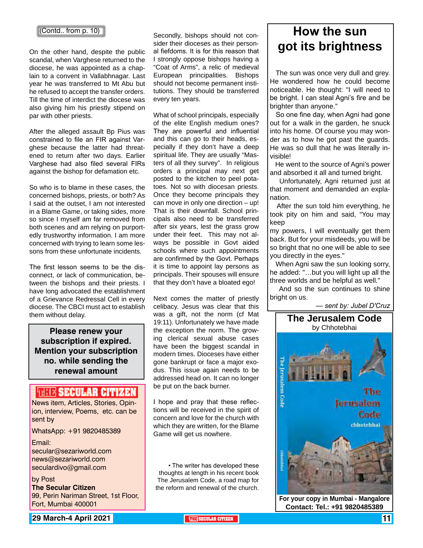On the other hand, despite the public scandal, when Varghese returned to the diocese, he was appointed as a chaplain to a convent in Vallabhnagar. Last year he was transferred to Mt Abu but he refused to accept the transfer orders. Till the time of interdict the diocese was also giving him his priestly stipend on par with other priests.

After the alleged assault Bp Pius was constrained to file an FIR against Varghese because the latter had threatened to return after two days. Earlier Varghese had also filed several FIRs against the bishop for defamation etc.

So who is to blame in these cases, the concerned bishops, priests, or both? As I said at the outset, I am not interested in a Blame Game, or taking sides, more so since I myself am far removed from both scenes and am relying on purportedly trustworthy information. I am more concerned with trying to learn some lessons from these unfortunate incidents.

The first lesson seems to be the disconnect, or lack of communication, between the bishops and their priests. I have long advocated the establishment of a Grievance Redressal Cell in every diocese. The CBCI must act to establish them without delay.

**subscription if expired. Mention your subscription no. while sending the renewal amount**

#### **THEIR SECULAR CITIZEN**

News item, Articles, Stories, Opinion, interview, Poems, etc. can be sent by

WhatsApp: +91 9820485389

Email: secular@sezariworld.com news@sezariworld.com seculardivo@gmail.com

by Post **The Secular Citizen** 99, Perin Nariman Street, 1st Floor, Fort, Mumbai 400001

Secondly, bishops should not consider their dioceses as their personal fiefdoms. It is for this reason that I strongly oppose bishops having a "Coat of Arms", a relic of medieval European principalities. Bishops should not become permanent institutions. They should be transferred every ten years.

What of school principals, especially of the elite English medium ones? They are powerful and influential and this can go to their heads, especially if they don't have a deep spiritual life. They are usually "Masters of all they survey". In religious orders a principal may next get posted to the kitchen to peel potatoes. Not so with diocesan priests. Once they become principals they can move in only one direction – up! That is their downfall. School principals also need to be transferred after six years, lest the grass grow under their feet. This may not always be possible in Govt aided schools where such appointments are confirmed by the Govt. Perhaps it is time to appoint lay persons as principals. Their spouses will ensure that they don't have a bloated ego!

Next comes the matter of priestly celibacy. Jesus was clear that this was a gift, not the norm (cf Mat 19:11). Unfortunately we have made **Please renew your** | the exception the norm. The grow- | by Chhotebhai ing clerical sexual abuse cases have been the biggest scandal in modern times. Dioceses have either gone bankrupt or face a major exodus. This issue again needs to be addressed head on. It can no longer be put on the back burner.

> I hope and pray that these reflections will be received in the spirit of concern and love for the church with which they are written, for the Blame Game will get us nowhere.

• The writer has developed these thoughts at length in his recent book The Jerusalem Code, a road map for the reform and renewal of the church.

### **How the sun got its brightness**

 The sun was once very dull and grey. He wondered how he could become noticeable. He thought: "I will need to be bright. I can steal Agni's fire and be brighter than anyone."

 So one fine day, when Agni had gone out for a walk in the garden, he snuck into his home. Of course you may wonder as to how he got past the guards. He was so dull that he was literally invisible!

 He went to the source of Agni's power and absorbed it all and turned bright.

 Unfortunately, Agni returned just at that moment and demanded an explanation.

 After the sun told him everything, he took pity on him and said, "You may keep

my powers, I will eventually get them back. But for your misdeeds, you will be so bright that no one will be able to see you directly in the eyes."

 When Agni saw the sun looking sorry, he added: "…but you will light up all the three worlds and be helpful as well."

 And so the sun continues to shine bright on us.

#### *— sent by: Jubel D'Cruz*

## **The Jerusalem Code**<br>by Chhotebhai



**For your copy in Mumbai - Mangalore Contact: Tel.: +91 9820485389**

**29 March-4 April 2021 THE THE THE SECULAR CITIZEN THE THE THE THE THE THE THE THE THE**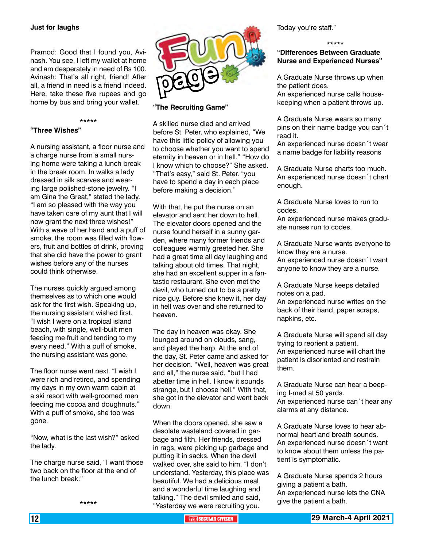#### **Just for laughs**

Pramod: Good that I found you, Avinash. You see, I left my wallet at home and am desperately in need of Rs 100. Avinash: That's all right, friend! After all, a friend in need is a friend indeed. Here, take these five rupees and go home by bus and bring your wallet.

\*\*\*\*\*

#### **"Three Wishes"**

A nursing assistant, a floor nurse and a charge nurse from a small nursing home were taking a lunch break in the break room. In walks a lady dressed in silk scarves and wearing large polished-stone jewelry. "I am Gina the Great," stated the lady. "I am so pleased with the way you have taken care of my aunt that I will now grant the next three wishes!" With a wave of her hand and a puff of smoke, the room was filled with flowers, fruit and bottles of drink, proving that she did have the power to grant wishes before any of the nurses could think otherwise.

The nurses quickly argued among themselves as to which one would ask for the first wish. Speaking up, the nursing assistant wished first. "I wish I were on a tropical island beach, with single, well-built men feeding me fruit and tending to my every need." With a puff of smoke, the nursing assistant was gone.

The floor nurse went next. "I wish I were rich and retired, and spending my days in my own warm cabin at a ski resort with well-groomed men feeding me cocoa and doughnuts." With a puff of smoke, she too was gone.

"Now, what is the last wish?" asked the lady.

The charge nurse said, "I want those two back on the floor at the end of the lunch break."

\*\*\*\*\*



**"The Recruiting Game"**

A skilled nurse died and arrived before St. Peter, who explained, "We have this little policy of allowing you to choose whether you want to spend eternity in heaven or in hell." "How do I know which to choose?" She asked. "That's easy," said St. Peter. "you have to spend a day in each place before making a decision."

With that, he put the nurse on an elevator and sent her down to hell. The elevator doors opened and the nurse found herself in a sunny garden, where many former friends and colleagues warmly greeted her. She had a great time all day laughing and talking about old times. That night, she had an excellent supper in a fantastic restaurant. She even met the devil, who turned out to be a pretty nice guy. Before she knew it, her day in hell was over and she returned to heaven.

The day in heaven was okay. She lounged around on clouds, sang, and played the harp. At the end of the day, St. Peter came and asked for her decision. "Well, heaven was great and all," the nurse said, "but I had abetter time in hell. I know it sounds strange, but I choose hell." With that, she got in the elevator and went back down.

When the doors opened, she saw a desolate wasteland covered in garbage and filth. Her friends, dressed in rags, were picking up garbage and putting it in sacks. When the devil walked over, she said to him, "I don't understand. Yesterday, this place was beautiful. We had a delicious meal and a wonderful time laughing and talking." The devil smiled and said, "Yesterday we were recruiting you.

Today you're staff."

#### \*\*\*\*\*

#### **"Differences Between Graduate Nurse and Experienced Nurses"**

A Graduate Nurse throws up when the patient does.

An experienced nurse calls housekeeping when a patient throws up.

A Graduate Nurse wears so many pins on their name badge you can´t read it.

An experienced nurse doesn´t wear a name badge for liability reasons

A Graduate Nurse charts too much. An experienced nurse doesn´t chart enough.

A Graduate Nurse loves to run to codes.

An experienced nurse makes graduate nurses run to codes.

A Graduate Nurse wants everyone to know they are a nurse. An experienced nurse doesn´t want anyone to know they are a nurse.

A Graduate Nurse keeps detailed notes on a pad. An experienced nurse writes on the

back of their hand, paper scraps, napkins, etc.

A Graduate Nurse will spend all day trying to reorient a patient. An experienced nurse will chart the patient is disoriented and restrain them.

A Graduate Nurse can hear a beeping I-med at 50 yards. An experienced nurse can´t hear any alarms at any distance.

A Graduate Nurse loves to hear abnormal heart and breath sounds. An experienced nurse doesn´t want to know about them unless the patient is symptomatic.

A Graduate Nurse spends 2 hours giving a patient a bath. An experienced nurse lets the CNA give the patient a bath.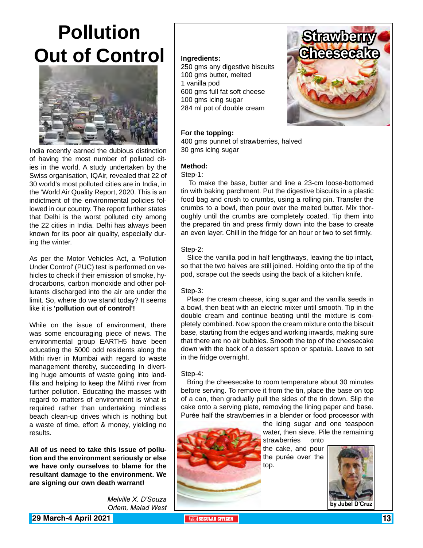# **Pollution Out of Control**



India recently earned the dubious distinction of having the most number of polluted cities in the world. A study undertaken by the Swiss organisation, IQAir, revealed that 22 of 30 world's most polluted cities are in India, in the 'World Air Quality Report, 2020. This is an indictment of the environmental policies followed in our country. The report further states that Delhi is the worst polluted city among the 22 cities in India. Delhi has always been known for its poor air quality, especially during the winter.

As per the Motor Vehicles Act, a 'Pollution Under Control' (PUC) test is performed on vehicles to check if their emission of smoke, hydrocarbons, carbon monoxide and other pollutants discharged into the air are under the limit. So, where do we stand today? It seems like it is **'pollution out of control'!**

While on the issue of environment, there was some encouraging piece of news. The environmental group EARTH5 have been educating the 5000 odd residents along the Mithi river in Mumbai with regard to waste management thereby, succeeding in diverting huge amounts of waste going into landfills and helping to keep the Mithti river from further pollution. Educating the masses with regard to matters of environment is what is required rather than undertaking mindless beach clean-up drives which is nothing but a waste of time, effort & money, yielding no results.

**All of us need to take this issue of pollution and the environment seriously or else we have only ourselves to blame for the resultant damage to the environment. We are signing our own death warrant!**

> *Melville X. D'Souza Orlem, Malad West*

#### **Ingredients:**

250 gms any digestive biscuits 100 gms butter, melted 1 vanilla pod 600 gms full fat soft cheese 100 gms icing sugar 284 ml pot of double cream



#### **For the topping:**

400 gms punnet of strawberries, halved 30 gms icing sugar

#### **Method:**

Step-1:

 To make the base, butter and line a 23-cm loose-bottomed tin with baking parchment. Put the digestive biscuits in a plastic food bag and crush to crumbs, using a rolling pin. Transfer the crumbs to a bowl, then pour over the melted butter. Mix thoroughly until the crumbs are completely coated. Tip them into the prepared tin and press firmly down into the base to create an even layer. Chill in the fridge for an hour or two to set firmly.

#### Step-2:

 Slice the vanilla pod in half lengthways, leaving the tip intact, so that the two halves are still joined. Holding onto the tip of the pod, scrape out the seeds using the back of a kitchen knife.

#### Step-3:

 Place the cream cheese, icing sugar and the vanilla seeds in a bowl, then beat with an electric mixer until smooth. Tip in the double cream and continue beating until the mixture is completely combined. Now spoon the cream mixture onto the biscuit base, starting from the edges and working inwards, making sure that there are no air bubbles. Smooth the top of the cheesecake down with the back of a dessert spoon or spatula. Leave to set in the fridge overnight.

#### Step-4:

 Bring the cheesecake to room temperature about 30 minutes before serving. To remove it from the tin, place the base on top of a can, then gradually pull the sides of the tin down. Slip the cake onto a serving plate, removing the lining paper and base. Purée half the strawberries in a blender or food processor with



the icing sugar and one teaspoon water, then sieve. Pile the remaining

strawberries onto the cake, and pour the purée over the top.



**29 March-4 April 2021 THE THE THE SECULAR CITIZEN 13** THE **THEFT ASSESSED ASSESSED ASSESSED ASSESSED ASSESSED ASSESSED ASSESSED ASSESSED ASSESSED ASSESSED ASSESSED ASSESSED ASSESSED ASSESSED ASSESSED ASSESSED ASSE**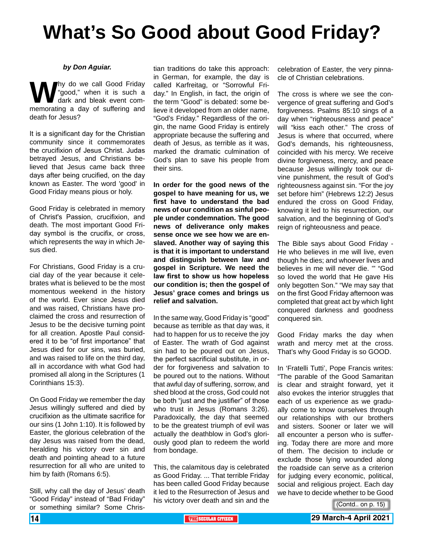# **What's So Good about Good Friday?**

#### *by Don Aguiar.*

Why do we call Good Friday "good," when it is such a dark and bleak event com-<br>memorating a day of suffering and "good," when it is such a dark and bleak event comdeath for Jesus?

It is a significant day for the Christian community since it commemorates the crucifixion of Jesus Christ. Judas betrayed Jesus, and Christians believed that Jesus came back three days after being crucified, on the day known as Easter. The word 'good' in Good Friday means pious or holy.

Good Friday is celebrated in memory of Christ's Passion, crucifixion, and death. The most important Good Friday symbol is the crucifix, or cross, which represents the way in which Jesus died.

For Christians, Good Friday is a crucial day of the year because it celebrates what is believed to be the most momentous weekend in the history of the world. Ever since Jesus died and was raised, Christians have proclaimed the cross and resurrection of Jesus to be the decisive turning point for all creation. Apostle Paul considered it to be "of first importance" that Jesus died for our sins, was buried, and was raised to life on the third day, all in accordance with what God had promised all along in the Scriptures (1 Corinthians 15:3).

On Good Friday we remember the day Jesus willingly suffered and died by crucifixion as the ultimate sacrifice for our sins (1 John 1:10). It is followed by Easter, the glorious celebration of the day Jesus was raised from the dead, heralding his victory over sin and death and pointing ahead to a future resurrection for all who are united to him by faith (Romans 6:5).

Still, why call the day of Jesus' death "Good Friday" instead of "Bad Friday" or something similar? Some Christian traditions do take this approach: in German, for example, the day is called Karfreitag, or "Sorrowful Friday." In English, in fact, the origin of the term "Good" is debated: some believe it developed from an older name, "God's Friday." Regardless of the origin, the name Good Friday is entirely appropriate because the suffering and death of Jesus, as terrible as it was, marked the dramatic culmination of God's plan to save his people from their sins.

**In order for the good news of the gospel to have meaning for us, we first have to understand the bad news of our condition as sinful people under condemnation. The good news of deliverance only makes sense once we see how we are enslaved. Another way of saying this is that it is important to understand and distinguish between law and gospel in Scripture. We need the law first to show us how hopeless our condition is; then the gospel of Jesus' grace comes and brings us relief and salvation.**

In the same way, Good Friday is "good" because as terrible as that day was, it had to happen for us to receive the joy of Easter. The wrath of God against sin had to be poured out on Jesus, the perfect sacrificial substitute, in order for forgiveness and salvation to be poured out to the nations. Without that awful day of suffering, sorrow, and shed blood at the cross, God could not be both "just and the justifier" of those who trust in Jesus (Romans 3:26). Paradoxically, the day that seemed to be the greatest triumph of evil was actually the deathblow in God's gloriously good plan to redeem the world from bondage.

This, the calamitous day is celebrated as Good Friday. ... That terrible Friday has been called Good Friday because it led to the Resurrection of Jesus and his victory over death and sin and the celebration of Easter, the very pinnacle of Christian celebrations.

The cross is where we see the convergence of great suffering and God's forgiveness. Psalms 85:10 sings of a day when "righteousness and peace" will "kiss each other." The cross of Jesus is where that occurred, where God's demands, his righteousness, coincided with his mercy. We receive divine forgiveness, mercy, and peace because Jesus willingly took our divine punishment, the result of God's righteousness against sin. "For the joy set before him" (Hebrews 12:2) Jesus endured the cross on Good Friday, knowing it led to his resurrection, our salvation, and the beginning of God's reign of righteousness and peace.

The Bible says about Good Friday - He who believes in me will live, even though he dies; and whoever lives and believes in me will never die. '" "God so loved the world that He gave His only begotten Son." "We may say that on the first Good Friday afternoon was completed that great act by which light conquered darkness and goodness conquered sin.

Good Friday marks the day when wrath and mercy met at the cross. That's why Good Friday is so GOOD.

In 'Fratelli Tutti', Pope Francis writes: "The parable of the Good Samaritan is clear and straight forward, yet it also evokes the interior struggles that each of us experience as we gradually come to know ourselves through our relationships with our brothers and sisters. Sooner or later we will all encounter a person who is suffering. Today there are more and more of them. The decision to include or exclude those lying wounded along the roadside can serve as a criterion for judging every economic, political, social and religious project. Each day we have to decide whether to be Good

(Contd.. on p. 15)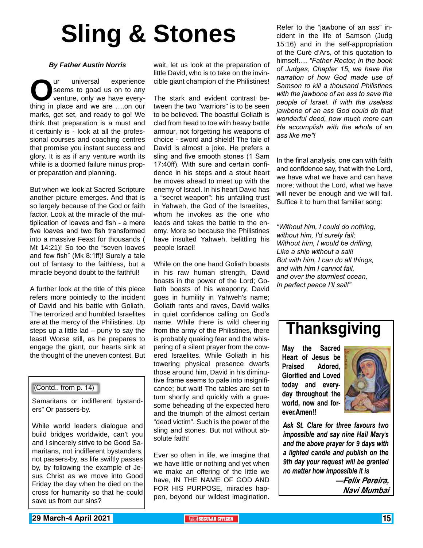# **Sling & Stones**

#### *By Father Austin Norris*

**OUR SERVIET SERVIET SERVIET SERVIET SERVIET SERVIET SERVIET SERVIET SERVIET SERVIET SERVIET SERVIET SERVIET SERVIET SERVIET SERVIET SERVIET SERVIET SERVIET SERVIET SERVIET SERVIET SERVIET SERVIET SERVIET SERVIET SERVIET S** seems to goad us on to any venture, only we have everymarks, get set, and ready to go! We think that preparation is a must and it certainly is - look at all the professional courses and coaching centres that promise you instant success and glory. It is as if any venture worth its while is a doomed failure minus proper preparation and planning.

But when we look at Sacred Scripture another picture emerges. And that is so largely because of the God or faith factor. Look at the miracle of the multiplication of loaves and fish - a mere five loaves and two fish transformed into a massive Feast for thousands ( Mt 14:21)! So too the "seven loaves and few fish" (Mk 8:1ff)! Surely a tale out of fantasy to the faithless, but a miracle beyond doubt to the faithful!

A further look at the title of this piece refers more pointedly to the incident of David and his battle with Goliath. The terrorized and humbled Israelites are at the mercy of the Philistines. Up steps up a little lad – puny to say the least! Worse still, as he prepares to engage the giant, our hearts sink at the thought of the uneven contest. But

#### (Contd.. from p. 14)

Samaritans or indifferent bystanders" Or passers-by.

While world leaders dialogue and build bridges worldwide, can't you and I sincerely strive to be Good Samaritans, not indifferent bystanders, not passers-by, as life swiftly passes by, by following the example of Jesus Christ as we move into Good Friday the day when he died on the cross for humanity so that he could save us from our sins?

wait, let us look at the preparation of little David, who is to take on the invincible giant champion of the Philistines!

The stark and evident contrast between the two "warriors" is to be seen to be believed. The boastful Goliath is clad from head to toe with heavy battle armour, not forgetting his weapons of choice - sword and shield! The tale of David is almost a joke. He prefers a sling and five smooth stones (1 Sam 17:40ff). With sure and certain confidence in his steps and a stout heart he moves ahead to meet up with the enemy of Israel. In his heart David has a "secret weapon": his unfailing trust in Yahweh, the God of the Israelites, whom he invokes as the one who leads and takes the battle to the enemy. More so because the Philistines have insulted Yahweh, belittling his people Israel!

While on the one hand Goliath boasts in his raw human strength, David boasts in the power of the Lord; Goliath boasts of his weaponry, David goes in humility in Yahweh's name; Goliath rants and raves, David walks in quiet confidence calling on God's name. While there is wild cheering from the army of the Philistines, there is probably quaking fear and the whispering of a silent prayer from the cowered Israelites. While Goliath in his towering physical presence dwarfs those around him, David in his diminutive frame seems to pale into insignificance; but wait! The tables are set to turn shortly and quickly with a gruesome beheading of the expected hero and the triumph of the almost certain "dead victim". Such is the power of the sling and stones. But not without absolute faith!

Ever so often in life, we imagine that we have little or nothing and yet when we make an offering of the little we have, IN THE NAME OF GOD AND FOR HIS PURPOSE, miracles happen, beyond our wildest imagination. Refer to the "jawbone of an ass" incident in the life of Samson (Judg 15:16) and in the self-appropriation of the Curé d'Ars, of this quotation to himself…. *"Father Rector, in the book of Judges, Chapter 15, we have the narration of how God made use of Samson to kill a thousand Philistines with the jawbone of an ass to save the people of Israel. If with the useless jawbone of an ass God could do that wonderful deed, how much more can He accomplish with the whole of an ass like me"!* 

In the final analysis, one can with faith and confidence say, that with the Lord, we have what we have and can have more; without the Lord, what we have will never be enough and we will fail. Suffice it to hum that familiar song:

*"Without him, I could do nothing, without him, I'd surely fail; Without him, I would be drifting, Like a ship without a sail! But with him, I can do all things, and with him I cannot fail, and over the stormiest ocean, In perfect peace I'll sail!"*

## **Thanksgiving**

**May the Sacred Heart of Jesus be Praised Adored, Glorified and Loved today and everyday throughout the world, now and forever.Amen!!**



*Ask St. Clare for three favours two impossible and say nine Hail Mary's and the above prayer for 9 days with a lighted candle and publish on the 9th day your request will be granted no matter how impossible it is*

> **—Felix Pereira, Navi Mumbai**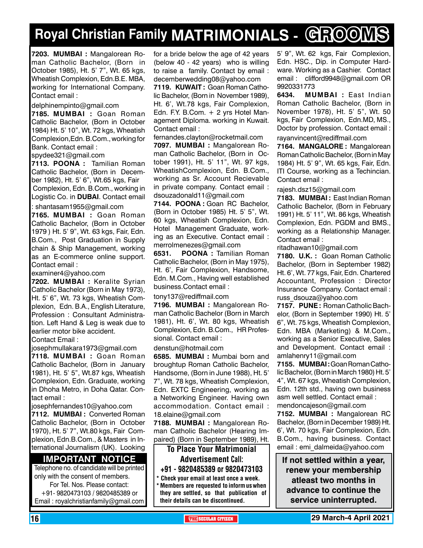# **Royal Christian Family MATRIMONIALS - GROOMS**

**7203. MUMBAI :** Mangalorean Roman Catholic Bachelor, (Born in October 1985), Ht. 5' 7", Wt. 65 kgs, Wheatish Complexion, Edn.B.E. MBA, working for International Company. Contact email :

delphinempinto@gmail.com

**7185. MUMBAI :** Goan Roman Catholic Bachelor, (Born in October 1984) Ht. 5' 10", Wt. 72 kgs, Wheatish Complexion,Edn. B.Com., working for Bank. Contact email :

spydee321@gmail.com

**7113. POONA :** Tamilian Roman Catholic Bachelor, (Born in December 1982), Ht. 5' 6", Wt.65 kgs, Fair Complexion, Edn. B.Com., working in Logistic Co. in **DUBAI**. Contact email

: shantasam1955@gmail.com

**7165. MUMBAI :** Goan Roman Catholic Bachelor, (Born in October 1979 ) Ht. 5' 9", Wt. 63 kgs, Fair, Edn. B.Com., Post Graduation in Supply chain & Ship Management, working as an E-commerce online support. Contact email :

examiner4@yahoo.com

**7202. MUMBAI :** Keralite Syrian Catholic Bachelor (Born in May 1973), Ht. 5' 6", Wt. 73 kgs, Wheatish Complexion, Edn. B.A., English Literature, Profession : Consultant Administration. Left Hand & Leg is weak due to earlier motor bike accident.

Contact Email :

josephmullakara1973@gmail.com

**7118. MUMBAI :** Goan Roman Catholic Bachelor, (Born in January 1981), Ht. 5' 5", Wt.87 kgs, Wheatish Complexion, Edn. Graduate, working in Dhoha Metro, in Doha Qatar. Contact email :

josephfernandes10@yahoo.com

**7112. MUMBAI :** Converted Roman Catholic Bachelor, (Born in October 1970), Ht. 5' 7", Wt.80 kgs, Fair Complexion, Edn.B.Com., & Masters in International Journalism (UK). Looking

#### **Important Notice**

Telephone no. of candidate will be printed only with the consent of members. For Tel. Nos. Please contact: +91- 9820473103 / 9820485389 or Email : royalchristianfamily@gmail.com

for a bride below the age of 42 years (below 40 - 42 years) who is willing to raise a family. Contact by email : decemberwedding08@yahoo.com

**7119. KUWAIT :** Goan Roman Catholic Bachelor, (Born in November 1989), Ht. 6', Wt.78 kgs, Fair Complexion, Edn. F.Y. B.Com. + 2 yrs Hotel Management Diploma. working in Kuwait. Contact email :

fernandes.clayton@rocketmail.com

**7097. MUMBAI :** Mangalorean Roman Catholic Bachelor, (Born in October 1991), Ht. 5' 11", Wt. 97 kgs, WheatishComplexion, Edn. B.Com., working as Sr. Account Recievable in private company. Contact email : dsouzadonald11@gmail.com

**7144. POONA :** Goan RC Bachelor, (Born in October 1985) Ht. 5' 5", Wt. 60 kgs, Wheatish Complexion, Edn. Hotel Management Graduate, working as an Executive. Contact email : merrolmenezes@gmail.com

**6531. POON A :** Tamilian Roman Catholic Bachelor, (Born in May 1975), Ht. 6', Fair Complexion, Handsome, Edn. M.Com., Having well established business.Contact email :

tony137@rediffmail.com

**7196. MUMBAI :** Mangalorean Roman Catholic Bachelor (Born in March 1981), Ht. 6', Wt. 80 kgs, Wheatish Complexion, Edn. B.Com., HR Professional. Contact email :

denstun@hotmail.com

**6585. MUMBAI :** Mumbai born and broughtup Roman Catholic Bachelor, Handsome, (Born in June 1988), Ht. 5' 7", Wt. 78 kgs, Wheatish Complexion, Edn. EXTC Engineering, working as a Networking Engineer. Having own accommodation. Contact email : 18.elaine@gmail.com

**7188. MUMBAI :** Mangalorean Roman Catholic Bachelor (Hearing Impaired) (Born in September 1989), Ht.

To Place Your Matrimonial Advertisement Call: +91 - 9820485389 or 9820473103

Check your email at least once a week. \* Members are requested to inform us when they are settled, so that publication of their details can be discontinued.

5' 9", Wt. 62 kgs, Fair Complexion, Edn. HSC., Dip. in Computer Hardware. Working as a Cashier. Contact email : clifford9948@gmail.com OR 9920331773

**6434. MUMBAI :** East Indian Roman Catholic Bachelor, (Born in November 1978), Ht. 5' 5", Wt. 50 kgs, Fair Complexion, Edn.MD, MS., Doctor by profession. Contact email :

rayanvincent@rediffmail.com **7164. MANGALORE :** Mangalorean Roman Catholic Bachelor, (Born in May 1984) Ht. 5' 9", Wt. 65 kgs, Fair, Edn. ITI Course, working as a Techincian. Contact email :

rajesh.dsz15@gmail.com

**7183. MUMBAI :** East Indian Roman Catholic Bachelor, (Born in February 1991) Ht. 5' 11", Wt. 86 kgs, Wheatish Complexion, Edn. PGDM and BMS., working as a Relationship Manager. Contact email :

ritadhawan10@gmail.com

**7180. U.K. :** Goan Roman Catholic Bachelor, (Born in September 1982) Ht. 6', Wt. 77 kgs, Fair, Edn. Chartered Accountant, Profession : Director Insurance Company. Contact email : russ\_dsouza@yahoo.com

**7157. PUNE :** Roman Catholic Bachelor, (Born in September 1990) Ht. 5' 6", Wt. 75 kgs, Wheatish Complexion, Edn. MBA (Marketing) & M.Com., working as a Senior Executive, Sales and Development. Contact email : amlahenry11@gmail.com

**7155. MUMBAI :** Goan Roman Catholic Bachelor, (Born in March 1980) Ht. 5' 4", Wt. 67 kgs, Wheatish Complexion, Edn. 12th std., having own business asm well settled. Contact email : mendoncajeson@gmail.com

**7152. MUMBAI :** Mangalorean RC Bachelor, (Born in December 1989) Ht. 6', Wt. 70 kgs, Fair Complexion, Edn. B.Com., having business. Contact email : emi\_dalmeida@yahoo.com

**If not settled within a year, renew your membership atleast two months in advance to continue the service uninterrupted.**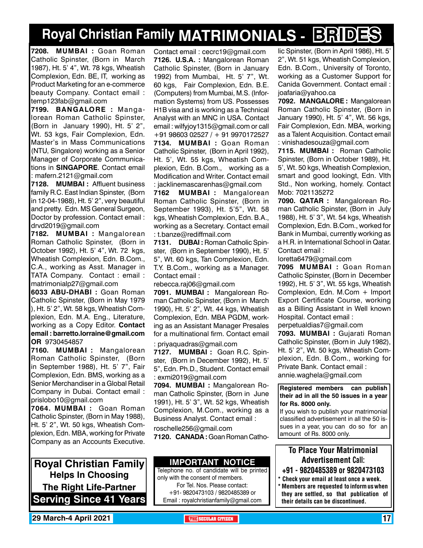# **Royal Christian Family MATRIMONIALS - BRIDES**

**7208. MUMBAI :** Goan Roman Catholic Spinster, (Born in March 1987), Ht. 5' 4", Wt. 78 kgs, Wheatish Complexion, Edn. BE, IT, working as Product Marketing for an e-commerce beauty Company. Contact email : temp123fab@gmail.com

**7199. BANGALORE :** Mangalorean Roman Catholic Spinster, (Born in January 1990), Ht. 5' 2", Wt. 53 kgs, Fair Complexion, Edn. Master's in Mass Communications (NTU, Singalore) working as a Senior Manager of Corporate Communications in **SINGAPORE**. Contact email : mafern.2121@gmail.com

**7128. MUMBAI :** Affluent business family R.C. East Indian Spinster, (Born in 12-04-1988), Ht. 5' 2", very beautiful and pretty. Edn. MS General Surgeon, Doctor by profession. Contact email : drvd2019@gmail.com

**7182. MUMBAI :** Mangalorean Roman Catholic Spinster, (Born in October 1992), Ht. 5' 4", Wt. 72 kgs, Wheatish Complexion, Edn. B.Com., C.A., working as Asst. Manager in TATA Company. Contact : email : matrimonialp27@gmail.com

**6033 ABU-DHABI :** Goan Roman Catholic Spinster, (Born in May 1979 ), Ht. 5' 2", Wt. 58 kgs, Wheatish Complexion, Edn. M.A. Eng., Literature, working as a Copy Editor. Contact email : barretto.lorraine@gmail.com OR 9730454857

**7160. MUMBAI :** Mangalorean Roman Catholic Spinster, (Born in September 1988), Ht. 5' 7", Fair Complexion, Edn. BMS, working as a Senior Merchandiser in a Global Retail Company in Dubai. Contact email : prislobo10@gmail.com

**7064. MUMBAI :** Goan Roman Catholic Spinster, (Born in May 1988), Ht. 5' 2", Wt. 50 kgs, Wheatish Complexion, Edn. MBA, working for Private Company as an Accounts Executive.

**Royal Christian Family Helps In Choosing The Right Life-Partner Serving Since 41 Years** Contact email : cecrc19@gmail.com **7126. U.S.A. :** Mangalorean Roman Catholic Spinster, (Born in January 1992) from Mumbai, Ht. 5' 7", Wt. 60 kgs, Fair Complexion, Edn. B.E. (Computers) from Mumbai, M.S. (Information Systems) from US. Possesses H1B visa and is working as a Technical Analyst with an MNC in USA. Contact email : wilfyjoy1315@gmail.com or call +91 98603 02527 / + 91 9970172527 **7134. MUMBAI :** Goan Roman Catholic Spinster, (Born in April 1992), Ht. 5', Wt. 55 kgs, Wheatish Complexion, Edn. B.Com., working as a Modification and Writer. Contact email : jacklinemascarenhas@gmail.com

**7162 MUMBAI :** Mangalorean Roman Catholic Spinster, (Born in September 1993), Ht. 5'5", Wt. 58 kgs, Wheatish Complexion, Edn. B.A., working as a Secretary. Contact email : t.banze@rediffmail.com

**7131. DUBAI :** Roman Catholic Spinster, (Born in September 1990), Ht. 5' 5", Wt. 60 kgs, Tan Complexion, Edn. T.Y. B.Com., working as a Manager. Contact email :

rebecca.raj06@gmail.com

**7091. MUMBAI :** Mangalorean Roman Catholic Spinster, (Born in March 1990), Ht. 5' 2", Wt. 44 kgs, Wheatish Complexion, Edn. MBA PGDM, working as an Assistant Manager Presales for a multinational firm. Contact email

: priyaquadras@gmail.com **7127. MUMBAI :** Goan R.C. Spinster, (Born in December 1992), Ht. 5' 5", Edn. Ph.D., Student. Contact email : exmi2019@gmail.com

**7094. MUMBAI :** Mangalorean Roman Catholic Spinster, (Born in June 1991), Ht. 5' 3", Wt. 52 kgs, Wheatish Complexion, M.Com., working as a Business Analyst. Contact email :

roschelle256@gmail.com **7120. CANADA :** Goan Roman Catho-

#### **Important Notice**

Telephone no. of candidate will be printed only with the consent of members. For Tel. Nos. Please contact: +91- 9820473103 / 9820485389 or Email : royalchristianfamily@gmail.com

lic Spinster, (Born in April 1986), Ht. 5' 2", Wt. 51 kgs, Wheatish Complexion, Edn. B.Com., University of Toronto, working as a Customer Support for Canida Government. Contact email : joafaria@yahoo.ca

**7092. MANGALORE :** Mangalorean Roman Catholic Spinster, (Born in January 1990), Ht. 5' 4", Wt. 56 kgs, Fair Complexion, Edn. MBA, working as a Talent Acquisition. Contact email : vinishadesouza@gmail.com

**7115. MUMBAI :** Roman Catholic Spinster, (Born in October 1989), Ht. 5', Wt. 50 kgs, Wheatish Complexion, smart and good lookingt, Edn. VIth Std., Non working, homely. Contact Mob: 7021135272

**7090. QATAR :** Mangalorean Roman Catholic Spinster, (Born in July 1988), Ht. 5' 3", Wt. 54 kgs, Wheatish Complexion, Edn. B.Com., worked for Bank in Mumbai, currently working as a H.R. in International School in Qatar. Contact email :

loretta6479@gmail.com

**7095 MUMBAI :** Goan Roman Catholic Spinster, (Born in December 1992), Ht. 5' 3", Wt. 55 kgs, Wheatish Complexion, Edn. M.Com + Import Export Certificate Course, working as a Billing Assistant in Well known Hospital. Contact email :

perpetualdias7@gmail.com

**7093. MUMBAI :** Gujarati Roman Catholic Spinster, (Born in July 1982), Ht. 5' 2", Wt. 50 kgs, Wheatish Complexion, Edn. B.Com., working for Private Bank. Contact email : annie.waghela@gmail.com

**Registered members can publish their ad in all the 50 issues in a year for Rs. 8000 only.**

If you wish to publish your matrimonial classified advertisement in all the 50 issues in a year, you can do so for an amount of Rs. 8000 only.

To Place Your Matrimonial Advertisement Call: +91 - 9820485389 or 9820473103

- Check your email at least once a week.
- Members are requested to inform us when they are settled, so that publication of their details can be discontinued.

**29 March-4 April 2021 THE THE THE SECULAR CITIZEN 17** THE **THEFT ASSESSED ASSESSED ASSESSED ASSESSED ASSESSED ASSESSED ASSESSED ASSESSED ASSESSED ASSESSED ASSESSED ASSESSED ASSESSED ASSESSED ASSESSED ASSESSED ASSE**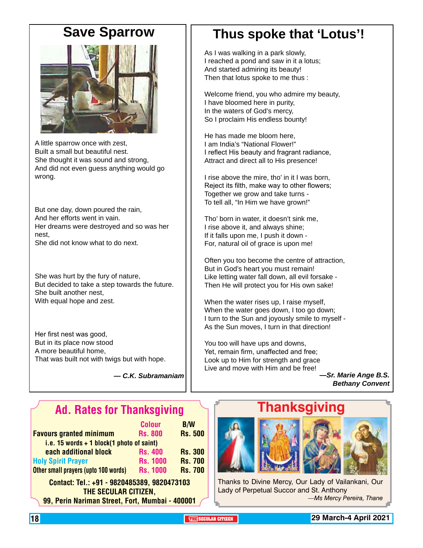

A little sparrow once with zest, Built a small but beautiful nest. She thought it was sound and strong, And did not even guess anything would go wrong.

But one day, down poured the rain, And her efforts went in vain. Her dreams were destroyed and so was her nest, She did not know what to do next.

She was hurt by the fury of nature, But decided to take a step towards the future. She built another nest, With equal hope and zest.

Her first nest was good, But in its place now stood A more beautiful home, That was built not with twigs but with hope.

*— C.K. Subramaniam*

## Ad. Rates for Thanksgiving

| <b>Colour</b>                                                                                                          | <b>B/W</b>     |  |  |
|------------------------------------------------------------------------------------------------------------------------|----------------|--|--|
| <b>Rs. 800</b>                                                                                                         | <b>Rs. 500</b> |  |  |
| i.e. 15 words $+$ 1 block(1 photo of saint)                                                                            |                |  |  |
| <b>Rs. 400</b>                                                                                                         | <b>Rs. 300</b> |  |  |
| <b>Rs. 1000</b>                                                                                                        | <b>Rs. 700</b> |  |  |
| <b>Rs. 1000</b>                                                                                                        | <b>Rs. 700</b> |  |  |
| Contact: Tel.: +91 - 9820485389, 9820473103<br>THE SECULAR CITIZEN,<br>99, Perin Nariman Street, Fort, Mumbai - 400001 |                |  |  |
|                                                                                                                        |                |  |  |

## **Save Sparrow Thus spoke that 'Lotus'!**

As I was walking in a park slowly, I reached a pond and saw in it a lotus; And started admiring its beauty! Then that lotus spoke to me thus :

Welcome friend, you who admire my beauty, I have bloomed here in purity, In the waters of God's mercy, So I proclaim His endless bounty!

He has made me bloom here, I am India's "National Flower!" I reflect His beauty and fragrant radiance, Attract and direct all to His presence!

I rise above the mire, tho' in it I was born, Reject its filth, make way to other flowers; Together we grow and take turns - To tell all, "In Him we have grown!"

Tho' born in water, it doesn't sink me, I rise above it, and always shine; If it falls upon me, I push it down - For, natural oil of grace is upon me!

Often you too become the centre of attraction, But in God's heart you must remain! Like letting water fall down, all evil forsake - Then He will protect you for His own sake!

When the water rises up, I raise myself, When the water goes down, I too go down; I turn to the Sun and joyously smile to myself - As the Sun moves, I turn in that direction!

You too will have ups and downs, Yet, remain firm, unaffected and free; Look up to Him for strength and grace Live and move with Him and be free!

*—Sr. Marie Ange B.S. Bethany Convent*





Thanks to Divine Mercy, Our Lady of Vailankani, Our Lady of Perpetual Succor and St. Anthony *—Ms Mercy Pereira, Thane*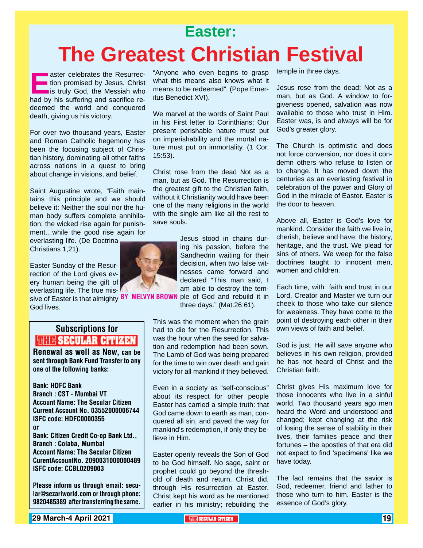# **Easter: The Greatest Christian Festival**

**EASTER EXECUTE ASSET CONCRETE ASSET AND THE US OF SACRIFICIAL SET AND AND HAD by his suffering and sacrifice re-**I tion promised by Jesus. Christ is truly God, the Messiah who deemed the world and conquered death, giving us his victory.

For over two thousand years, Easter and Roman Catholic hegemony has been the focusing subject of Christian history, dominating all other faiths across nations in a quest to bring about change in visions, and belief.

Saint Augustine wrote, "Faith maintains this principle and we should believe it: Neither the soul nor the human body suffers complete annihilation; the wicked rise again for punishment…while the good rise again for

everlasting life. (De Doctrina Christians 1,21).

Easter Sunday of the Resurrection of the Lord gives every human being the gift of everlasting life. The true mis-

sive of Easter is that almighty BY MELVYN BRO God lives.

## Subscriptions for **RENEW SECULAR CITIZEN**<br>Renewal as well as New, can be

sent through Bank Fund Transfer to any one of the following banks:

Bank: HDFC Bank Branch : CST - Mumbai VT Account Name: The Secular Citizen Current Account No. 03552000006744 ISFC code: HDFC0000355 or Bank: Citizen Credit Co-op Bank Ltd., Branch : Colaba, Mumbai Account Name: The Secular Citizen CurentAccountNo. 2090031000000489 ISFC code: CCBL0209003

Please inform us through email: secular@sezariworld.com or through phone: 9820485389 after transferring the same. "Anyone who even begins to grasp what this means also knows what it means to be redeemed". (Pope Emeritus Benedict XVI).

We marvel at the words of Saint Paul in his First letter to Corinthians: Our present perishable nature must put on imperishability and the mortal nature must put on immortality. (1 Cor. 15:53).

Christ rose from the dead Not as a man, but as God. The Resurrection is the greatest gift to the Christian faith, without it Christianity would have been one of the many religions in the world with the single aim like all the rest to save souls.

> Jesus stood in chains during his passion, before the Sandhedrin waiting for their decision, when two false witnesses came forward and declared "This man said, I am able to destroy the temple of God and rebuild it in three days." (Mat.26:61).

This was the moment when the grain had to die for the Resurrection. This was the hour when the seed for salvation and redemption had been sown. The Lamb of God was being prepared for the time to win over death and gain victory for all mankind if they believed.

Even in a society as "self-conscious" about its respect for other people Easter has carried a simple truth: that God came down to earth as man, conquered all sin, and paved the way for mankind's redemption, if only they believe in Him.

Easter openly reveals the Son of God to be God himself. No sage, saint or prophet could go beyond the threshold of death and return. Christ did, through His resurrection at Easter. Christ kept his word as he mentioned earlier in his ministry; rebuilding the temple in three days.

Jesus rose from the dead; Not as a man, but as God. A window to forgiveness opened, salvation was now available to those who trust in Him. Easter was, is and always will be for God's greater glory.

The Church is optimistic and does not force conversion, nor does it condemn others who refuse to listen or to change. It has moved down the centuries as an everlasting festival in celebration of the power and Glory of God in the miracle of Easter. Easter is the door to heaven.

Above all, Easter is God's love for mankind. Consider the faith we live in, cherish, believe and have: the history, heritage, and the trust. We plead for sins of others. We weep for the false doctrines taught to innocent men, women and children.

Each time, with faith and trust in our Lord, Creator and Master we turn our cheek to those who take our silence for weakness. They have come to the point of destroying each other in their own views of faith and belief.

God is just. He will save anyone who believes in his own religion, provided he has not heard of Christ and the Christian faith.

Christ gives His maximum love for those innocents who live in a sinful world. Two thousand years ago men heard the Word and understood and changed; kept changing at the risk of losing the sense of stability in their lives, their families peace and their fortunes – the apostles of that era did not expect to find 'specimens' like we have today.

The fact remains that the savior is God, redeemer, friend and father to those who turn to him. Easter is the essence of God's glory.